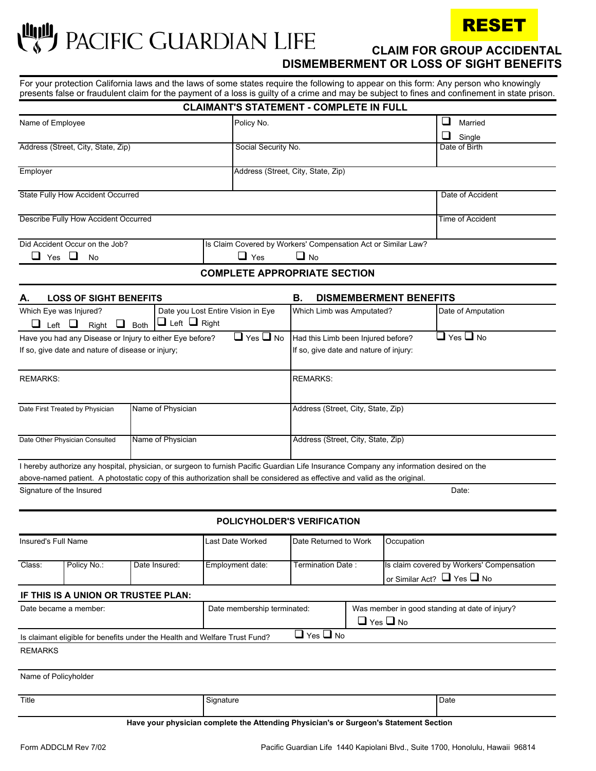**FECT PACIFIC GUARDIAN LIFE CLAIM FOR GROUP ACCIDENTAL** 



 **DISMEMBERMENT OR LOSS OF SIGHT BENEFITS**

For your protection California laws and the laws of some states require the following to appear on this form: Any person who knowingly presents false or fraudulent claim for the payment of a loss is guilty of a crime and may be subject to fines and confinement in state prison.

|                                                                                                                                          |                                                               | <b>CLAIMANT'S STATEMENT - COMPLETE IN FULL</b> |                                        |                                    |               |                      |  |  |
|------------------------------------------------------------------------------------------------------------------------------------------|---------------------------------------------------------------|------------------------------------------------|----------------------------------------|------------------------------------|---------------|----------------------|--|--|
| Name of Employee                                                                                                                         |                                                               | Policy No.                                     |                                        |                                    |               | ப<br>Married         |  |  |
|                                                                                                                                          |                                                               |                                                |                                        |                                    | ❏<br>Single   |                      |  |  |
| Address (Street, City, State, Zip)                                                                                                       |                                                               | Social Security No.                            |                                        |                                    | Date of Birth |                      |  |  |
| Employer                                                                                                                                 |                                                               |                                                | Address (Street, City, State, Zip)     |                                    |               |                      |  |  |
|                                                                                                                                          |                                                               |                                                |                                        |                                    |               |                      |  |  |
| State Fully How Accident Occurred                                                                                                        |                                                               |                                                |                                        | Date of Accident                   |               |                      |  |  |
|                                                                                                                                          |                                                               |                                                |                                        |                                    |               |                      |  |  |
| Describe Fully How Accident Occurred                                                                                                     |                                                               |                                                |                                        |                                    |               | Time of Accident     |  |  |
| Did Accident Occur on the Job?                                                                                                           | Is Claim Covered by Workers' Compensation Act or Similar Law? |                                                |                                        |                                    |               |                      |  |  |
| ш<br>ப<br>Yes<br>No                                                                                                                      | $\Box$ Yes                                                    | $\square$ No                                   |                                        |                                    |               |                      |  |  |
|                                                                                                                                          |                                                               | <b>COMPLETE APPROPRIATE SECTION</b>            |                                        |                                    |               |                      |  |  |
| <b>LOSS OF SIGHT BENEFITS</b>                                                                                                            |                                                               |                                                | В.                                     | <b>DISMEMBERMENT BENEFITS</b>      |               |                      |  |  |
| Which Eye was Injured?                                                                                                                   |                                                               | Date you Lost Entire Vision in Eye             |                                        | Which Limb was Amputated?          |               | Date of Amputation   |  |  |
| $\Box$ Left $\Box$ Right<br>$\Box$ Left $\Box$<br>Right $\Box$ Both                                                                      |                                                               |                                                |                                        |                                    |               |                      |  |  |
| Have you had any Disease or Injury to either Eye before?                                                                                 |                                                               | $\Box$ Yes $\Box$ No                           |                                        | Had this Limb been Injured before? |               | $\Box$ Yes $\Box$ No |  |  |
| If so, give date and nature of disease or injury;                                                                                        |                                                               |                                                | If so, give date and nature of injury: |                                    |               |                      |  |  |
|                                                                                                                                          |                                                               |                                                |                                        |                                    |               |                      |  |  |
| <b>REMARKS:</b>                                                                                                                          |                                                               |                                                | <b>REMARKS:</b>                        |                                    |               |                      |  |  |
| Name of Physician<br>Date First Treated by Physician                                                                                     |                                                               |                                                | Address (Street, City, State, Zip)     |                                    |               |                      |  |  |
|                                                                                                                                          |                                                               |                                                |                                        |                                    |               |                      |  |  |
| Name of Physician<br>Date Other Physician Consulted                                                                                      |                                                               |                                                | Address (Street, City, State, Zip)     |                                    |               |                      |  |  |
|                                                                                                                                          |                                                               |                                                |                                        |                                    |               |                      |  |  |
| I hereby authorize any hospital, physician, or surgeon to furnish Pacific Guardian Life Insurance Company any information desired on the |                                                               |                                                |                                        |                                    |               |                      |  |  |
| above-named patient. A photostatic copy of this authorization shall be considered as effective and valid as the original.                |                                                               |                                                |                                        |                                    |               |                      |  |  |
| Signature of the Insured                                                                                                                 |                                                               |                                                |                                        |                                    |               | Date:                |  |  |
|                                                                                                                                          |                                                               |                                                |                                        |                                    |               |                      |  |  |
|                                                                                                                                          |                                                               | POLICYHOLDER'S VERIFICATION                    |                                        |                                    |               |                      |  |  |
| Insured's Full Name                                                                                                                      |                                                               | <b>Last Date Worked</b>                        |                                        | Date Returned to Work              | Occupation    |                      |  |  |

Insured's Full Name **Last Date Worked** Date Returned to Work | Occupation Class: Policy No.: Date Insured: Employment date: Termination Date : Is claim covered by Workers' Compensation

## or Similar Act?  $\Box$  Yes  $\Box$  No **IF THIS IS A UNION OR TRUSTEE PLAN:** Date became a member: Date membership terminated: Next Mass member in good standing at date of injury? Is claimant eligible for benefits under the Health and Welfare Trust Fund? REMARKS  $\Box$  Yes  $\Box$  No  $\Box$  Yes  $\Box$  No

Name of Policyholder

| Title | anature | Date |
|-------|---------|------|
|       |         |      |

**Have your physician complete the Attending Physician's or Surgeon's Statement Section**